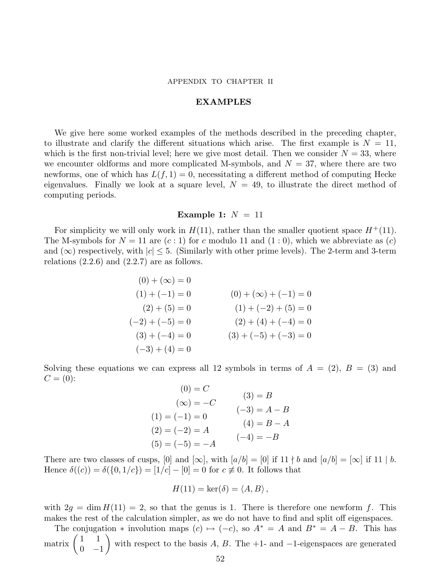#### APPENDIX TO CHAPTER II

#### EXAMPLES

We give here some worked examples of the methods described in the preceding chapter, to illustrate and clarify the different situations which arise. The first example is  $N = 11$ , which is the first non-trivial level; here we give most detail. Then we consider  $N = 33$ , where we encounter oldforms and more complicated M-symbols, and  $N = 37$ , where there are two newforms, one of which has  $L(f, 1) = 0$ , necessitating a different method of computing Hecke eigenvalues. Finally we look at a square level,  $N = 49$ , to illustrate the direct method of computing periods.

### Example 1:  $N = 11$

For simplicity we will only work in  $H(11)$ , rather than the smaller quotient space  $H^+(11)$ . The M-symbols for  $N = 11$  are  $(c: 1)$  for c modulo 11 and  $(1: 0)$ , which we abbreviate as  $(c)$ and  $(\infty)$  respectively, with  $|c| \leq 5$ . (Similarly with other prime levels). The 2-term and 3-term relations  $(2.2.6)$  and  $(2.2.7)$  are as follows.

$$
(0) + (\infty) = 0
$$
  
\n
$$
(1) + (-1) = 0
$$
  
\n
$$
(2) + (5) = 0
$$
  
\n
$$
(-2) + (-5) = 0
$$
  
\n
$$
(3) + (-4) = 0
$$
  
\n
$$
(4) + (-2) + (5) = 0
$$
  
\n
$$
(1) + (-2) + (5) = 0
$$
  
\n
$$
(2) + (4) + (-4) = 0
$$
  
\n
$$
(3) + (-5) + (-3) = 0
$$
  
\n
$$
(-3) + (4) = 0
$$

Solving these equations we can express all 12 symbols in terms of  $A = (2)$ ,  $B = (3)$  and  $C = (0)$ :

| $(0) = C$         |                |
|-------------------|----------------|
| $(\infty) = -C$   | $(3) = B$      |
| $(1) = (-1) = 0$  | $(-3) = A - B$ |
|                   | $(4) = B - A$  |
| $(2) = (-2) = A$  | $(-4) = -B$    |
| $(5) = (-5) = -A$ |                |

There are two classes of cusps, [0] and  $[\infty]$ , with  $[a/b] = [0]$  if 11 | b and  $[a/b] = [\infty]$  if 11 | b. Hence  $\delta((c)) = \delta({0, 1/c}) = [1/c] - [0] = 0$  for  $c \neq 0$ . It follows that

$$
H(11) = \ker(\delta) = \langle A, B \rangle,
$$

with  $2g = \dim H(11) = 2$ , so that the genus is 1. There is therefore one newform f. This makes the rest of the calculation simpler, as we do not have to find and split off eigenspaces.

The conjugation  $*$  involution maps  $(c) \mapsto (-c)$ , so  $A^* = A$  and  $B^* = A - B$ . This has matrix  $\begin{pmatrix} 1 & 1 \\ 0 & 1 \end{pmatrix}$  $0 -1$  $\setminus$ with respect to the basis  $A, B$ . The +1- and  $-1$ -eigenspaces are generated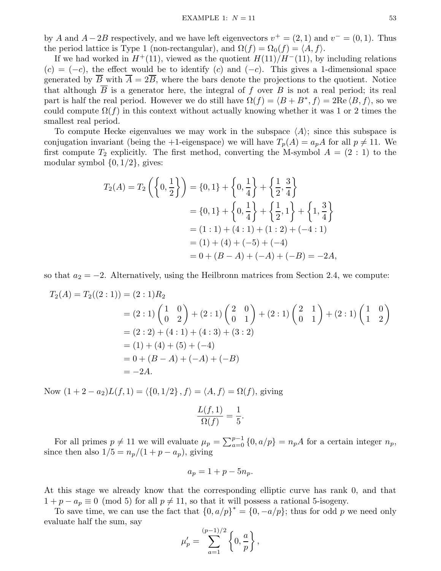by A and  $A - 2B$  respectively, and we have left eigenvectors  $v^+ = (2, 1)$  and  $v^- = (0, 1)$ . Thus the period lattice is Type 1 (non-rectangular), and  $\Omega(f) = \Omega_0(f) = \langle A, f \rangle$ .

If we had worked in  $H^+(11)$ , viewed as the quotient  $H(11)/H^-(11)$ , by including relations  $(c) = (-c)$ , the effect would be to identify  $(c)$  and  $(-c)$ . This gives a 1-dimensional space generated by  $\overline{B}$  with  $\overline{A} = 2\overline{B}$ , where the bars denote the projections to the quotient. Notice that although  $\overline{B}$  is a generator here, the integral of f over B is not a real period; its real part is half the real period. However we do still have  $\Omega(f) = \langle B + B^*, f \rangle = 2\text{Re}\langle B, f \rangle$ , so we could compute  $\Omega(f)$  in this context without actually knowing whether it was 1 or 2 times the smallest real period.

To compute Hecke eigenvalues we may work in the subspace  $\langle A \rangle$ ; since this subspace is conjugation invariant (being the +1-eigenspace) we will have  $T_p(A) = a_p A$  for all  $p \neq 11$ . We first compute  $T_2$  explicitly. The first method, converting the M-symbol  $A = (2 : 1)$  to the modular symbol  $\{0, 1/2\}$ , gives:

$$
T_2(A) = T_2 \left( \left\{ 0, \frac{1}{2} \right\} \right) = \left\{ 0, 1 \right\} + \left\{ 0, \frac{1}{4} \right\} + \left\{ \frac{1}{2}, \frac{3}{4} \right\}
$$
  
=  $\left\{ 0, 1 \right\} + \left\{ 0, \frac{1}{4} \right\} + \left\{ \frac{1}{2}, 1 \right\} + \left\{ 1, \frac{3}{4} \right\}$   
=  $(1 : 1) + (4 : 1) + (1 : 2) + (-4 : 1)$   
=  $(1) + (4) + (-5) + (-4)$   
=  $0 + (B - A) + (-A) + (-B) = -2A$ ,

so that  $a_2 = -2$ . Alternatively, using the Heilbronn matrices from Section 2.4, we compute:

$$
T_2(A) = T_2((2:1)) = (2:1)R_2
$$
  
= (2:1)  $\begin{pmatrix} 1 & 0 \\ 0 & 2 \end{pmatrix}$  + (2:1)  $\begin{pmatrix} 2 & 0 \\ 0 & 1 \end{pmatrix}$  + (2:1)  $\begin{pmatrix} 2 & 1 \\ 0 & 1 \end{pmatrix}$  + (2:1)  $\begin{pmatrix} 1 & 0 \\ 1 & 2 \end{pmatrix}$   
= (2:2) + (4:1) + (4:3) + (3:2)  
= (1) + (4) + (5) + (-4)  
= 0 + (B - A) + (-A) + (-B)  
= -2A.

Now  $(1 + 2 - a_2)L(f, 1) = \langle {0, 1/2}, f \rangle = \langle A, f \rangle = \Omega(f)$ , giving

$$
\frac{L(f,1)}{\Omega(f)} = \frac{1}{5}.
$$

For all primes  $p \neq 11$  we will evaluate  $\mu_p = \sum_{a=0}^{p-1} \{0, a/p\} = n_p A$  for a certain integer  $n_p$ , since then also  $1/5 = n_p/(1 + p - a_p)$ , giving

$$
a_p = 1 + p - 5n_p.
$$

At this stage we already know that the corresponding elliptic curve has rank 0, and that  $1 + p - a_p \equiv 0 \pmod{5}$  for all  $p \neq 11$ , so that it will possess a rational 5-isogeny.

To save time, we can use the fact that  $\{0, a/p\}^* = \{0, -a/p\}$ ; thus for odd p we need only evaluate half the sum, say

$$
\mu_p'=\sum_{a=1}^{(p-1)/2}\left\{0,\frac{a}{p}\right\},
$$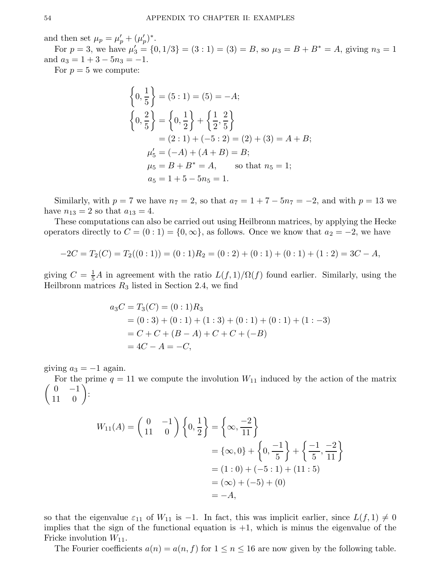and then set  $\mu_p = \mu'_p + (\mu'_p)$  $'_{p})^{*}.$ 

For  $p = 3$ , we have  $\mu'_3 = \{0, 1/3\} = (3 : 1) = (3) = B$ , so  $\mu_3 = B + B^* = A$ , giving  $n_3 = 1$ and  $a_3 = 1 + 3 - 5n_3 = -1$ .

For  $p = 5$  we compute:

$$
\begin{aligned}\n\left\{0, \frac{1}{5}\right\} &= (5:1) = (5) = -A; \\
\left\{0, \frac{2}{5}\right\} &= \left\{0, \frac{1}{2}\right\} + \left\{\frac{1}{2}, \frac{2}{5}\right\} \\
&= (2:1) + (-5:2) = (2) + (3) = A + B; \\
\mu_5' &= (-A) + (A + B) = B; \\
\mu_5 &= B + B^* = A, \quad \text{so that } n_5 = 1; \\
a_5 &= 1 + 5 - 5n_5 = 1.\n\end{aligned}
$$

Similarly, with  $p = 7$  we have  $n_7 = 2$ , so that  $a_7 = 1 + 7 - 5n_7 = -2$ , and with  $p = 13$  we have  $n_{13} = 2$  so that  $a_{13} = 4$ .

These computations can also be carried out using Heilbronn matrices, by applying the Hecke operators directly to  $C = (0:1) = \{0,\infty\}$ , as follows. Once we know that  $a_2 = -2$ , we have

$$
-2C = T_2(C) = T_2((0:1)) = (0:1)R_2 = (0:2) + (0:1) + (0:1) + (1:2) = 3C - A,
$$

giving  $C = \frac{1}{5}A$  in agreement with the ratio  $L(f, 1)/\Omega(f)$  found earlier. Similarly, using the Heilbronn matrices  $R_3$  listed in Section 2.4, we find

$$
a_3C = T_3(C) = (0:1)R_3
$$
  
= (0:3) + (0:1) + (1:3) + (0:1) + (0:1) + (1:-3)  
= C + C + (B - A) + C + C + (-B)  
= 4C - A = -C,

giving  $a_3 = -1$  again.

 $\begin{pmatrix} 0 & -1 \end{pmatrix}$ For the prime  $q = 11$  we compute the involution  $W_{11}$  induced by the action of the matrix 11 0  $\setminus$ :

$$
W_{11}(A) = \begin{pmatrix} 0 & -1 \\ 11 & 0 \end{pmatrix} \left\{ 0, \frac{1}{2} \right\} = \left\{ \infty, \frac{-2}{11} \right\}
$$
  
=  $\{\infty, 0\} + \left\{ 0, \frac{-1}{5} \right\} + \left\{ \frac{-1}{5}, \frac{-2}{11} \right\}$   
=  $(1:0) + (-5:1) + (11:5)$   
=  $(\infty) + (-5) + (0)$   
=  $-A$ ,

so that the eigenvalue  $\varepsilon_{11}$  of  $W_{11}$  is -1. In fact, this was implicit earlier, since  $L(f, 1) \neq 0$ implies that the sign of the functional equation is  $+1$ , which is minus the eigenvalue of the Fricke involution  $W_{11}$ .

The Fourier coefficients  $a(n) = a(n, f)$  for  $1 \le n \le 16$  are now given by the following table.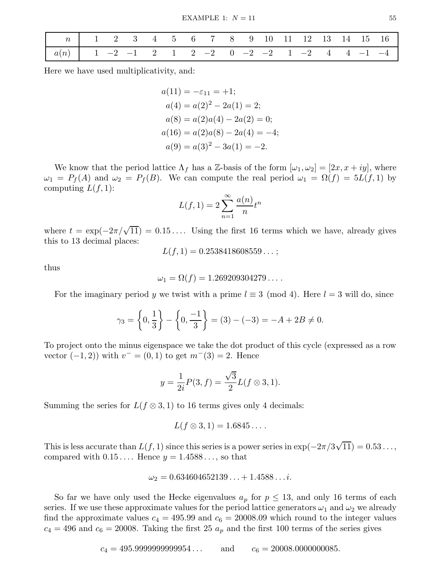| $\begin{array}{ c ccccccccccc }\n\hline\n\end{array}$ $\begin{array}{ c ccccccccccc }\n\hline\n\end{array}$ $\begin{array}{ c ccccccccccc }\n\hline\n\end{array}$ $\begin{array}{ c ccccccccccc }\n\hline\n\end{array}$ $\begin{array}{ c ccccccccccc }\n\hline\n\end{array}$ $\begin{array}{ c ccccccccccc }\n\hline\n\end{array}$ $\begin{array}{ c ccccccccccc }\n\hline\n\end{array}$ $\begin{array}{ c ccccccccccc }\n\hline\n\end{array}$ |  |  |  |  |  |  |  |  |
|-------------------------------------------------------------------------------------------------------------------------------------------------------------------------------------------------------------------------------------------------------------------------------------------------------------------------------------------------------------------------------------------------------------------------------------------------|--|--|--|--|--|--|--|--|
| $\begin{array}{ c ccccccccccccccc }\hline a(n) & 1 & -2 & -1 & 2 & 1 & 2 & -2 & 0 & -2 & -2 & 1 & -2 & 4 & 4 & -1 & -4 \ \hline \end{array}$                                                                                                                                                                                                                                                                                                    |  |  |  |  |  |  |  |  |

Here we have used multiplicativity, and:

 $a(11) = -\varepsilon_{11} = +1;$  $a(4) = a(2)^2 - 2a(1) = 2;$  $a(8) = a(2)a(4) - 2a(2) = 0;$  $a(16) = a(2)a(8) - 2a(4) = -4;$  $a(9) = a(3)^{2} - 3a(1) = -2.$ 

We know that the period lattice  $\Lambda_f$  has a Z-basis of the form  $[\omega_1, \omega_2] = [2x, x + iy]$ , where  $\omega_1 = P_f(A)$  and  $\omega_2 = P_f(B)$ . We can compute the real period  $\omega_1 = \Omega(f) = 5L(f,1)$  by computing  $L(f, 1)$ :

$$
L(f, 1) = 2\sum_{n=1}^{\infty} \frac{a(n)}{n} t^n
$$

where  $t = \exp(-2\pi/\sqrt{11}) = 0.15...$  Using the first 16 terms which we have, already gives this to 13 decimal places:

$$
L(f,1) = 0.2538418608559...
$$

thus

$$
\omega_1 = \Omega(f) = 1.269209304279\dots.
$$

For the imaginary period y we twist with a prime  $l \equiv 3 \pmod{4}$ . Here  $l = 3$  will do, since

$$
\gamma_3 = \left\{ 0, \frac{1}{3} \right\} - \left\{ 0, \frac{-1}{3} \right\} = (3) - (-3) = -A + 2B \neq 0.
$$

To project onto the minus eigenspace we take the dot product of this cycle (expressed as a row vector  $(-1, 2)$ ) with  $v^- = (0, 1)$  to get  $m^-(3) = 2$ . Hence

$$
y = \frac{1}{2i}P(3, f) = \frac{\sqrt{3}}{2}L(f \otimes 3, 1).
$$

Summing the series for  $L(f \otimes 3, 1)$  to 16 terms gives only 4 decimals:

$$
L(f\otimes 3,1)=1.6845\ldots.
$$

This is less accurate than  $L(f, 1)$  since this series is a power series in  $\exp(-2\pi/3\sqrt{11}) = 0.53...$ , compared with  $0.15...$  Hence  $y = 1.4588...$ , so that

$$
\omega_2 = 0.634604652139\ldots + 1.4588\ldots i.
$$

So far we have only used the Hecke eigenvalues  $a_p$  for  $p \leq 13$ , and only 16 terms of each series. If we use these approximate values for the period lattice generators  $\omega_1$  and  $\omega_2$  we already find the approximate values  $c_4 = 495.99$  and  $c_6 = 20008.09$  which round to the integer values  $c_4 = 496$  and  $c_6 = 20008$ . Taking the first 25  $a_p$  and the first 100 terms of the series gives

 $c_4 = 495.9999999999954...$  and  $c_6 = 20008.0000000085.$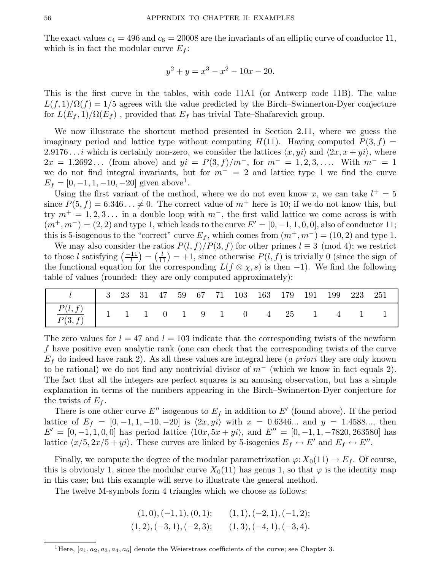The exact values  $c_4 = 496$  and  $c_6 = 20008$  are the invariants of an elliptic curve of conductor 11, which is in fact the modular curve  $E_f$ :

$$
y^2 + y = x^3 - x^2 - 10x - 20.
$$

This is the first curve in the tables, with code 11A1 (or Antwerp code 11B). The value  $L(f, 1)/\Omega(f) = 1/5$  agrees with the value predicted by the Birch–Swinnerton-Dyer conjecture for  $L(E_f, 1)/\Omega(E_f)$ , provided that  $E_f$  has trivial Tate–Shafarevich group.

We now illustrate the shortcut method presented in Section 2.11, where we guess the imaginary period and lattice type without computing  $H(11)$ . Having computed  $P(3, f) =$ 2.9176... *i* which is certainly non-zero, we consider the lattices  $\langle x, y_i \rangle$  and  $\langle 2x, x + yi \rangle$ , where  $2x = 1.2692...$  (from above) and  $yi = P(3, f)/m^-$ , for  $m^- = 1, 2, 3, ...$  With  $m^- = 1$ we do not find integral invariants, but for  $m^- = 2$  and lattice type 1 we find the curve  $E_f = [0, -1, 1, -10, -20]$  given above<sup>1</sup>.

Using the first variant of the method, where we do not even know x, we can take  $l^+ = 5$ since  $P(5, f) = 6.346... \neq 0$ . The correct value of  $m^+$  here is 10; if we do not know this, but try  $m^+ = 1, 2, 3...$  in a double loop with  $m^-$ , the first valid lattice we come across is with  $(m^+, m^-) = (2, 2)$  and type 1, which leads to the curve  $E' = [0, -1, 1, 0, 0]$ , also of conductor 11; this is 5-isogenous to the "correct" curve  $E_f$ , which comes from  $(m^+, m^-) = (10, 2)$  and type 1.

We may also consider the ratios  $P(l, f)/P(3, f)$  for other primes  $l \equiv 3 \pmod{4}$ ; we restrict to those l satisfying  $\left(\frac{-11}{l}\right) = \left(\frac{l}{11}\right)$  $\frac{l}{11}$ ) = +1, since otherwise  $P(l, f)$  is trivially 0 (since the sign of the functional equation for the corresponding  $L(f \otimes \chi, s)$  is then -1). We find the following table of values (rounded: they are only computed approximately):

| 1   3 23 31 47 59 67 71 103 163 179 191 199 223 251                                                                           |  |  |  |  |  |  |  |
|-------------------------------------------------------------------------------------------------------------------------------|--|--|--|--|--|--|--|
| $\begin{array}{c cccccccccccccc} \hline P(l,f) & 1 & 1 & 1 & 0 & 1 & 9 & 1 & 0 & 4 & 25 & 1 & 4 & 1 & 1 \ \hline \end{array}$ |  |  |  |  |  |  |  |

The zero values for  $l = 47$  and  $l = 103$  indicate that the corresponding twists of the newform f have positive even analytic rank (one can check that the corresponding twists of the curve  $E_f$  do indeed have rank 2). As all these values are integral here (*a priori* they are only known to be rational) we do not find any nontrivial divisor of  $m^-$  (which we know in fact equals 2). The fact that all the integers are perfect squares is an amusing observation, but has a simple explanation in terms of the numbers appearing in the Birch–Swinnerton-Dyer conjecture for the twists of  $E_f$ .

There is one other curve E'' isogenous to  $E_f$  in addition to E' (found above). If the period lattice of  $E_f = [0, -1, 1, -10, -20]$  is  $\langle 2x, yi \rangle$  with  $x = 0.6346...$  and  $y = 1.4588...$ , then  $E' = [0, -1, 1, 0, 0]$  has period lattice  $\langle 10x, 5x + yi \rangle$ , and  $E'' = [0, -1, 1, -7820, 263580]$  has lattice  $\langle x/5, 2x/5 + yi \rangle$ . These curves are linked by 5-isogenies  $E_f \leftrightarrow E'$  and  $E_f \leftrightarrow E''$ .

Finally, we compute the degree of the modular parametrization  $\varphi: X_0(11) \to E_f$ . Of course, this is obviously 1, since the modular curve  $X_0(11)$  has genus 1, so that  $\varphi$  is the identity map in this case; but this example will serve to illustrate the general method.

The twelve M-symbols form 4 triangles which we choose as follows:

 $(1, 0), (-1, 1), (0, 1);$   $(1, 1), (-2, 1), (-1, 2);$  $(1, 2), (-3, 1), (-2, 3);$   $(1, 3), (-4, 1), (-3, 4).$ 

<sup>&</sup>lt;sup>1</sup>Here,  $[a_1, a_2, a_3, a_4, a_6]$  denote the Weierstrass coefficients of the curve; see Chapter 3.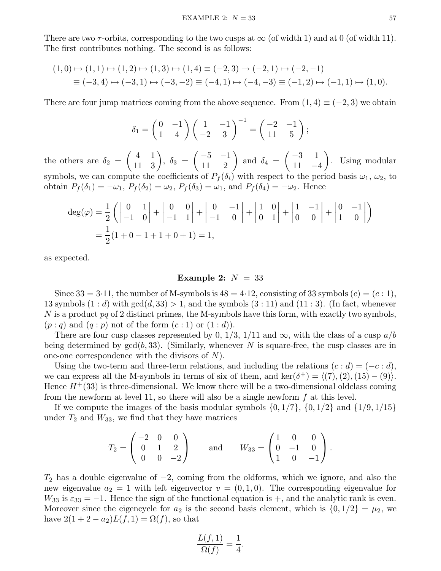There are two  $\tau$ -orbits, corresponding to the two cusps at  $\infty$  (of width 1) and at 0 (of width 11). The first contributes nothing. The second is as follows:

$$
(1,0) \mapsto (1,1) \mapsto (1,2) \mapsto (1,3) \mapsto (1,4) \equiv (-2,3) \mapsto (-2,1) \mapsto (-2,-1)
$$
  

$$
\equiv (-3,4) \mapsto (-3,1) \mapsto (-3,-2) \equiv (-4,1) \mapsto (-4,-3) \equiv (-1,2) \mapsto (-1,1) \mapsto (1,0).
$$

There are four jump matrices coming from the above sequence. From  $(1, 4) \equiv (-2, 3)$  we obtain

$$
\delta_1 = \begin{pmatrix} 0 & -1 \\ 1 & 4 \end{pmatrix} \begin{pmatrix} 1 & -1 \\ -2 & 3 \end{pmatrix}^{-1} = \begin{pmatrix} -2 & -1 \\ 11 & 5 \end{pmatrix};
$$

the others are  $\delta_2$  =  $(4 \ 1)$ 11 3  $\setminus$ ,  $\delta_3$  =  $\begin{pmatrix} -5 & -1 \\ 1 & -1 \end{pmatrix}$ 11 2  $\setminus$ and  $\delta_4$  =  $\begin{pmatrix} -3 & 1 \end{pmatrix}$  $11 -4$  $\setminus$ . Using modular symbols, we can compute the coefficients of  $P_f(\delta_i)$  with respect to the period basis  $\omega_1, \omega_2$ , to obtain  $P_f(\delta_1) = -\omega_1$ ,  $P_f(\delta_2) = \omega_2$ ,  $P_f(\delta_3) = \omega_1$ , and  $P_f(\delta_4) = -\omega_2$ . Hence

$$
\begin{aligned} \deg(\varphi) &= \frac{1}{2} \left( \begin{vmatrix} 0 & 1 \\ -1 & 0 \end{vmatrix} + \begin{vmatrix} 0 & 0 \\ -1 & 1 \end{vmatrix} + \begin{vmatrix} 0 & -1 \\ -1 & 0 \end{vmatrix} + \begin{vmatrix} 1 & 0 \\ 0 & 1 \end{vmatrix} + \begin{vmatrix} 1 & -1 \\ 0 & 0 \end{vmatrix} + \begin{vmatrix} 0 & -1 \\ 1 & 0 \end{vmatrix} \right) \\ &= \frac{1}{2} (1 + 0 - 1 + 1 + 0 + 1) = 1, \end{aligned}
$$

as expected.

# Example 2:  $N = 33$

Since  $33 = 3.11$ , the number of M-symbols is  $48 = 4.12$ , consisting of 33 symbols  $(c) = (c : 1)$ , 13 symbols  $(1:d)$  with  $gcd(d, 33) > 1$ , and the symbols  $(3:11)$  and  $(11:3)$ . (In fact, whenever  $N$  is a product  $pq$  of 2 distinct primes, the M-symbols have this form, with exactly two symbols,  $(p : q)$  and  $(q : p)$  not of the form  $(c : 1)$  or  $(1 : d)$ ).

There are four cusp classes represented by 0,  $1/3$ ,  $1/11$  and  $\infty$ , with the class of a cusp  $a/b$ being determined by  $gcd(b, 33)$ . (Similarly, whenever N is square-free, the cusp classes are in one-one correspondence with the divisors of  $N$ ).

Using the two-term and three-term relations, and including the relations  $(c : d) = (-c : d)$ , we can express all the M-symbols in terms of six of them, and ker( $\delta^+$ ) =  $\langle (7), (2), (15) - (9) \rangle$ . Hence  $H^+(33)$  is three-dimensional. We know there will be a two-dimensional oldclass coming from the newform at level 11, so there will also be a single newform  $f$  at this level.

If we compute the images of the basis modular symbols  $\{0, 1/7\}$ ,  $\{0, 1/2\}$  and  $\{1/9, 1/15\}$ under  $T_2$  and  $W_{33}$ , we find that they have matrices

$$
T_2 = \begin{pmatrix} -2 & 0 & 0 \\ 0 & 1 & 2 \\ 0 & 0 & -2 \end{pmatrix} \quad \text{and} \quad W_{33} = \begin{pmatrix} 1 & 0 & 0 \\ 0 & -1 & 0 \\ 1 & 0 & -1 \end{pmatrix}.
$$

 $T_2$  has a double eigenvalue of  $-2$ , coming from the oldforms, which we ignore, and also the new eigenvalue  $a_2 = 1$  with left eigenvector  $v = (0, 1, 0)$ . The corresponding eigenvalue for  $W_{33}$  is  $\varepsilon_{33} = -1$ . Hence the sign of the functional equation is +, and the analytic rank is even. Moreover since the eigencycle for  $a_2$  is the second basis element, which is  $\{0, 1/2\} = \mu_2$ , we have  $2(1+2-a_2)L(f,1) = \Omega(f)$ , so that

$$
\frac{L(f,1)}{\Omega(f)} = \frac{1}{4}.
$$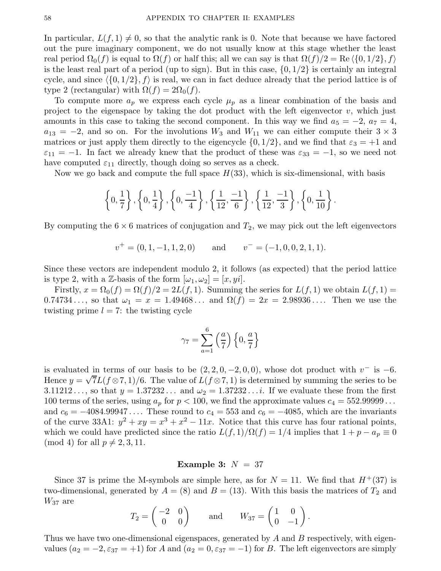In particular,  $L(f, 1) \neq 0$ , so that the analytic rank is 0. Note that because we have factored out the pure imaginary component, we do not usually know at this stage whether the least real period  $\Omega_0(f)$  is equal to  $\Omega(f)$  or half this; all we can say is that  $\Omega(f)/2 = \text{Re}\left\{\{0, 1/2\}, f\right\}$ is the least real part of a period (up to sign). But in this case,  $\{0, 1/2\}$  is certainly an integral cycle, and since  $\langle \{0, 1/2\}, f \rangle$  is real, we can in fact deduce already that the period lattice is of type 2 (rectangular) with  $\Omega(f) = 2\Omega_0(f)$ .

To compute more  $a_p$  we express each cycle  $\mu_p$  as a linear combination of the basis and project to the eigenspace by taking the dot product with the left eigenvector  $v$ , which just amounts in this case to taking the second component. In this way we find  $a_5 = -2$ ,  $a_7 = 4$ ,  $a_{13} = -2$ , and so on. For the involutions  $W_3$  and  $W_{11}$  we can either compute their  $3 \times 3$ matrices or just apply them directly to the eigencycle  $\{0, 1/2\}$ , and we find that  $\varepsilon_3 = +1$  and  $\varepsilon_{11} = -1$ . In fact we already knew that the product of these was  $\varepsilon_{33} = -1$ , so we need not have computed  $\varepsilon_{11}$  directly, though doing so serves as a check.

Now we go back and compute the full space  $H(33)$ , which is six-dimensional, with basis

$$
\left\{0, \frac{1}{7}\right\}, \left\{0, \frac{1}{4}\right\}, \left\{0, \frac{-1}{4}\right\}, \left\{\frac{1}{12}, \frac{-1}{6}\right\}, \left\{\frac{1}{12}, \frac{-1}{3}\right\}, \left\{0, \frac{1}{10}\right\}.
$$

By computing the  $6 \times 6$  matrices of conjugation and  $T_2$ , we may pick out the left eigenvectors

$$
v^+ = (0, 1, -1, 1, 2, 0)
$$
 and  $v^- = (-1, 0, 0, 2, 1, 1).$ 

Since these vectors are independent modulo 2, it follows (as expected) that the period lattice is type 2, with a Z-basis of the form  $[\omega_1, \omega_2] = [x, yi]$ .

Firstly,  $x = \Omega_0(f) = \Omega(f)/2 = 2L(f, 1)$ . Summing the series for  $L(f, 1)$  we obtain  $L(f, 1)$ 0.74734..., so that  $\omega_1 = x = 1.49468...$  and  $\Omega(f) = 2x = 2.98936...$  Then we use the twisting prime  $l = 7$ : the twisting cycle

$$
\gamma_7 = \sum_{a=1}^6 \left(\frac{a}{7}\right) \left\{0, \frac{a}{7}\right\}
$$

is evaluated in terms of our basis to be  $(2, 2, 0, -2, 0, 0)$ , whose dot product with  $v^-$  is -6. Hence  $y = \sqrt{7}L(f\otimes 7, 1)/6$ . The value of  $L(f\otimes 7, 1)$  is determined by summing the series to be 3.11212..., so that  $y = 1.37232...$  and  $\omega_2 = 1.37232...$  i. If we evaluate these from the first 100 terms of the series, using  $a_p$  for  $p < 100$ , we find the approximate values  $c_4 = 552.99999...$ and  $c_6 = -4084.99947...$  These round to  $c_4 = 553$  and  $c_6 = -4085$ , which are the invariants of the curve 33A1:  $y^2 + xy = x^3 + x^2 - 11x$ . Notice that this curve has four rational points, which we could have predicted since the ratio  $L(f, 1)/\Omega(f) = 1/4$  implies that  $1 + p - a_p \equiv 0$ (mod 4) for all  $p \neq 2, 3, 11$ .

## Example 3:  $N = 37$

Since 37 is prime the M-symbols are simple here, as for  $N = 11$ . We find that  $H^+(37)$  is two-dimensional, generated by  $A = (8)$  and  $B = (13)$ . With this basis the matrices of  $T_2$  and  $W_{37}$  are

$$
T_2 = \begin{pmatrix} -2 & 0 \\ 0 & 0 \end{pmatrix} \quad \text{and} \quad W_{37} = \begin{pmatrix} 1 & 0 \\ 0 & -1 \end{pmatrix}.
$$

Thus we have two one-dimensional eigenspaces, generated by A and B respectively, with eigenvalues  $(a_2 = -2, \epsilon_{37} = +1)$  for A and  $(a_2 = 0, \epsilon_{37} = -1)$  for B. The left eigenvectors are simply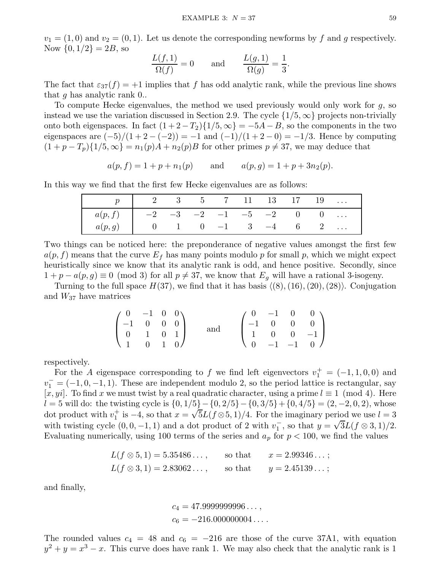$v_1 = (1, 0)$  and  $v_2 = (0, 1)$ . Let us denote the corresponding newforms by f and g respectively. Now  $\{0, 1/2\} = 2B$ , so

$$
\frac{L(f,1)}{\Omega(f)} = 0 \quad \text{and} \quad \frac{L(g,1)}{\Omega(g)} = \frac{1}{3}.
$$

The fact that  $\varepsilon_{37}(f) = +1$  implies that f has odd analytic rank, while the previous line shows that g has analytic rank 0..

To compute Hecke eigenvalues, the method we used previously would only work for g, so instead we use the variation discussed in Section 2.9. The cycle  $\{1/5, \infty\}$  projects non-trivially onto both eigenspaces. In fact  $(1+2-T_2)\{1/5,\infty\} = -5A - B$ , so the components in the two eigenspaces are  $(-5)/(1+2-(-2)) = -1$  and  $(-1)/(1+2-0) = -1/3$ . Hence by computing  $(1 + p - T_p)\{1/5, \infty\} = n_1(p)A + n_2(p)B$  for other primes  $p \neq 37$ , we may deduce that

$$
a(p, f) = 1 + p + n_1(p)
$$
 and  $a(p, g) = 1 + p + 3n_2(p)$ .

In this way we find that the first few Hecke eigenvalues are as follows:

|                                               | $p$   2 3 5 7 11 13 17 19 |  |  |  |  |
|-----------------------------------------------|---------------------------|--|--|--|--|
| $a(p, f)$   $-2$ $-3$ $-2$ $-1$ $-5$ $-2$ 0 0 |                           |  |  |  |  |
| $a(p,g)$ 0 1 0 -1 3 -4 6 2                    |                           |  |  |  |  |

Two things can be noticed here: the preponderance of negative values amongst the first few  $a(p, f)$  means that the curve  $E_f$  has many points modulo p for small p, which we might expect heuristically since we know that its analytic rank is odd, and hence positive. Secondly, since  $1 + p - a(p, g) \equiv 0 \pmod{3}$  for all  $p \neq 37$ , we know that  $E_g$  will have a rational 3-isogeny.

Turning to the full space  $H(37)$ , we find that it has basis  $\langle (8), (16), (20), (28) \rangle$ . Conjugation and  $W_{37}$  have matrices

| $(0 -1 0 0)$                                                                   |  |     |  |                                                                                                      |
|--------------------------------------------------------------------------------|--|-----|--|------------------------------------------------------------------------------------------------------|
|                                                                                |  |     |  |                                                                                                      |
| $\left(\begin{array}{cccc} -1 & 0 & 0 & 0 \\ 0 & 1 & 0 & 1 \end{array}\right)$ |  | and |  | $\left(\begin{array}{cccc} 0 & -1 & 0 & 0 \\ -1 & 0 & 0 & 0 \\ 1 & 0 & 0 & -1 \\ \end{array}\right)$ |
| $\begin{pmatrix} 1 & 0 & 1 & 0 \end{pmatrix}$                                  |  |     |  | $\begin{pmatrix} 0 & -1 & -1 & 0 \end{pmatrix}$                                                      |

respectively.

For the A eigenspace corresponding to f we find left eigenvectors  $v_1^+ = (-1, 1, 0, 0)$  and  $v_1^- = (-1, 0, -1, 1)$ . These are independent modulo 2, so the period lattice is rectangular, say  $[x, yi]$ . To find x we must twist by a real quadratic character, using a prime  $l \equiv 1 \pmod{4}$ . Here l = 5 will do: the twisting cycle is  $\{0, 1/5\} - \{0, 2/5\} - \{0, 3/5\} + \{0, 4/5\} = (2, -2, 0, 2)$ , whose dot product with  $v_1^+$  $\frac{1}{1}$  is −4, so that  $x = \sqrt{5}L(f\otimes 5, 1)/4$ . For the imaginary period we use  $l = 3$ with twisting cycle  $(0, 0, -1, 1)$  and a dot product of 2 with  $v_1^ \frac{1}{1}$ , so that  $y = \sqrt{3}L(f \otimes 3, 1)/2$ . Evaluating numerically, using 100 terms of the series and  $a_p$  for  $p < 100$ , we find the values

$$
L(f \otimes 5, 1) = 5.35486...,
$$
 so that  $x = 2.99346...$ ;  

$$
L(f \otimes 3, 1) = 2.83062...
$$
, so that  $y = 2.45139...$ ;

and finally,

$$
c_4 = 47.999999996...,
$$
  

$$
c_6 = -216.000000004....
$$

The rounded values  $c_4 = 48$  and  $c_6 = -216$  are those of the curve 37A1, with equation  $y^2 + y = x^3 - x$ . This curve does have rank 1. We may also check that the analytic rank is 1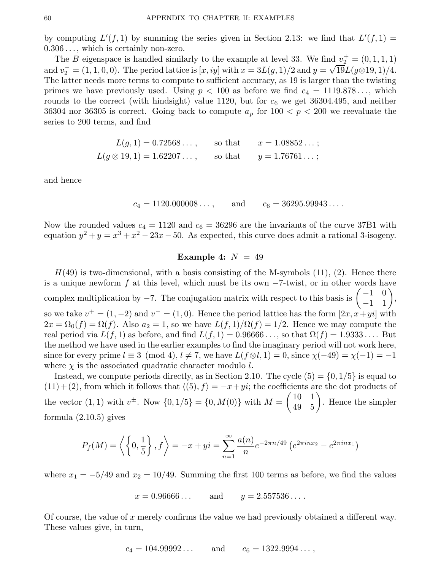by computing  $L'(f, 1)$  by summing the series given in Section 2.13: we find that  $L'(f, 1) =$ 0.306 . . ., which is certainly non-zero.

The B eigenspace is handled similarly to the example at level 33. We find  $v_2^+ = (0, 1, 1, 1)$ and  $v_2^- = (1, 1, 0, 0)$ . The period lattice is  $[x, iy]$  with  $x = 3L(g, 1)/2$  and  $y = \sqrt{19}L(g \otimes 19, 1)/4$ . The latter needs more terms to compute to sufficient accuracy, as 19 is larger than the twisting primes we have previously used. Using  $p < 100$  as before we find  $c_4 = 1119.878...$ , which rounds to the correct (with hindsight) value 1120, but for  $c_6$  we get 36304.495, and neither 36304 nor 36305 is correct. Going back to compute  $a_p$  for  $100 < p < 200$  we reevaluate the series to 200 terms, and find

$$
L(g, 1) = 0.72568...,
$$
 so that  $x = 1.08852...$ ;  

$$
L(g \otimes 19, 1) = 1.62207...,
$$
 so that  $y = 1.76761...$ ;

and hence

$$
c_4 = 1120.000008...
$$
, and  $c_6 = 36295.99943...$ 

Now the rounded values  $c_4 = 1120$  and  $c_6 = 36296$  are the invariants of the curve 37B1 with equation  $y^2 + y = x^3 + x^2 - 23x - 50$ . As expected, this curve does admit a rational 3-isogeny.

# Example 4:  $N = 49$

 $H(49)$  is two-dimensional, with a basis consisting of the M-symbols (11), (2). Hence there is a unique newform  $f$  at this level, which must be its own  $-7$ -twist, or in other words have complex multiplication by  $-7$ . The conjugation matrix with respect to this basis is  $\begin{pmatrix} -1 & 0 \\ -1 & 1 \end{pmatrix}$ −1 1  $\setminus$ , so we take  $v^+ = (1, -2)$  and  $v^- = (1, 0)$ . Hence the period lattice has the form  $[2x, x + yi]$  with  $2x = \Omega_0(f) = \Omega(f)$ . Also  $a_2 = 1$ , so we have  $L(f, 1)/\Omega(f) = 1/2$ . Hence we may compute the real period via  $L(f, 1)$  as before, and find  $L(f, 1) = 0.96666...$ , so that  $\Omega(f) = 1.9333...$  But the method we have used in the earlier examples to find the imaginary period will not work here, since for every prime  $l \equiv 3 \pmod{4}$ ,  $l \neq 7$ , we have  $L(f \otimes l, 1) = 0$ , since  $\chi(-49) = \chi(-1) = -1$ where  $\chi$  is the associated quadratic character modulo l.

Instead, we compute periods directly, as in Section 2.10. The cycle  $(5) = \{0, 1/5\}$  is equal to  $(11)+(2)$ , from which it follows that  $\langle (5), f \rangle = -x+yi$ ; the coefficients are the dot products of the vector (1, 1) with  $v^{\pm}$ . Now  $\{0, 1/5\} = \{0, M(0)\}\$  with  $M = \begin{pmatrix} 10 & 1 \\ 49 & 5 \end{pmatrix}$ 49 5  $\setminus$ . Hence the simpler formula (2.10.5) gives

$$
P_f(M) = \left\langle \left\{0, \frac{1}{5}\right\}, f \right\rangle = -x + yi = \sum_{n=1}^{\infty} \frac{a(n)}{n} e^{-2\pi n/49} \left(e^{2\pi i n x_2} - e^{2\pi i n x_1}\right)
$$

where  $x_1 = -5/49$  and  $x_2 = 10/49$ . Summing the first 100 terms as before, we find the values

$$
x = 0.96666...
$$
 and  $y = 2.557536...$ 

Of course, the value of x merely confirms the value we had previously obtained a different way. These values give, in turn,

$$
c_4 = 104.99992...
$$
 and  $c_6 = 1322.9994...$ ,